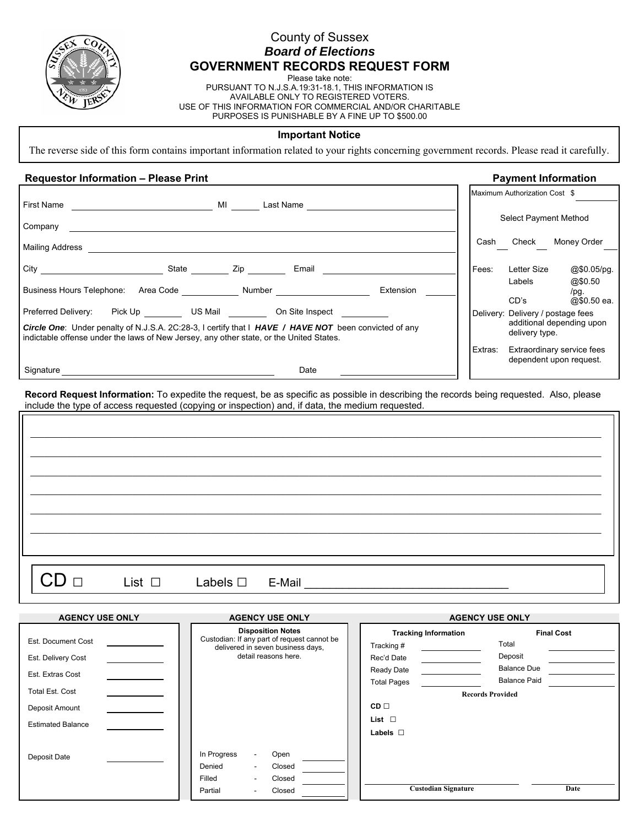

## County of Sussex *Board of Elections*  **GOVERNMENT RECORDS REQUEST FORM**

Please take note:

PURSUANT TO N.J.S.A.19:31-18.1, THIS INFORMATION IS AVAILABLE ONLY TO REGISTERED VOTERS. USE OF THIS INFORMATION FOR COMMERCIAL AND/OR CHARITABLE PURPOSES IS PUNISHABLE BY A FINE UP TO \$500.00

### **Important Notice**

The reverse side of this form contains important information related to your rights concerning government records. Please read it carefully.

## Requestor Information – Please Print **Process Contract Contract Contract Contract Payment Information**

|                                                                                                                                                                                                                                                           | Maximum Authorization Cost \$                                                                                             |                               |                                                 |
|-----------------------------------------------------------------------------------------------------------------------------------------------------------------------------------------------------------------------------------------------------------|---------------------------------------------------------------------------------------------------------------------------|-------------------------------|-------------------------------------------------|
|                                                                                                                                                                                                                                                           | Select Payment Method                                                                                                     |                               |                                                 |
| Mailing Address <b>contract to the contract of the contract of the contract of the contract of the contract of the contract of the contract of the contract of the contract of the contract of the contract of the contract of t</b>                      |                                                                                                                           | Cash Check                    | Money Order                                     |
|                                                                                                                                                                                                                                                           | Fees:                                                                                                                     | Letter Size<br>Labels<br>CD's | $@$0.05$ /pg.<br>@\$0.50<br>/pq.<br>@\$0.50 ea. |
| Preferred Delivery: Pick Up CUS Mail Con Site Inspect<br>Circle One: Under penalty of N.J.S.A. 2C:28-3, I certify that I HAVE / HAVE NOT been convicted of any<br>indictable offense under the laws of New Jersey, any other state, or the United States. | Delivery: Delivery / postage fees<br>additional depending upon<br>delivery type.<br>Extras:<br>Extraordinary service fees |                               |                                                 |
| Date                                                                                                                                                                                                                                                      | dependent upon request.                                                                                                   |                               |                                                 |
| Record Request Information: To expedite the request, be as specific as possible in describing the records being requested. Also, please<br>include the type of access requested (copying or inspection) and, if data, the medium requested.               |                                                                                                                           |                               |                                                 |
|                                                                                                                                                                                                                                                           |                                                                                                                           |                               |                                                 |
| List $\Box$<br>Labels $\square$<br>E-Mail                                                                                                                                                                                                                 |                                                                                                                           |                               |                                                 |

| <b>AGENCY USE ONLY</b>   | <b>AGENCY USE ONLY</b>                                                                                                                          | <b>AGENCY USE ONLY</b>      |                     |  |
|--------------------------|-------------------------------------------------------------------------------------------------------------------------------------------------|-----------------------------|---------------------|--|
|                          | <b>Disposition Notes</b>                                                                                                                        | <b>Tracking Information</b> | <b>Final Cost</b>   |  |
| Est. Document Cost       | Custodian: If any part of request cannot be<br>delivered in seven business days,                                                                | Tracking #                  | Total               |  |
| Est. Delivery Cost       | detail reasons here.                                                                                                                            | Rec'd Date                  | Deposit             |  |
| Est. Extras Cost         |                                                                                                                                                 | Ready Date                  | <b>Balance Due</b>  |  |
|                          |                                                                                                                                                 | <b>Total Pages</b>          | <b>Balance Paid</b> |  |
| Total Est. Cost          |                                                                                                                                                 | <b>Records Provided</b>     |                     |  |
| Deposit Amount           |                                                                                                                                                 | $CD \Box$                   |                     |  |
| <b>Estimated Balance</b> |                                                                                                                                                 | List $\Box$                 |                     |  |
|                          |                                                                                                                                                 | Labels $\square$            |                     |  |
| Deposit Date             | In Progress<br>Open<br>$\overline{\phantom{0}}$<br>Denied<br>Closed<br>$\overline{\phantom{a}}$<br>Filled<br>Closed<br>$\overline{\phantom{a}}$ |                             |                     |  |
|                          | Closed<br>Partial<br>٠                                                                                                                          | <b>Custodian Signature</b>  | Date                |  |